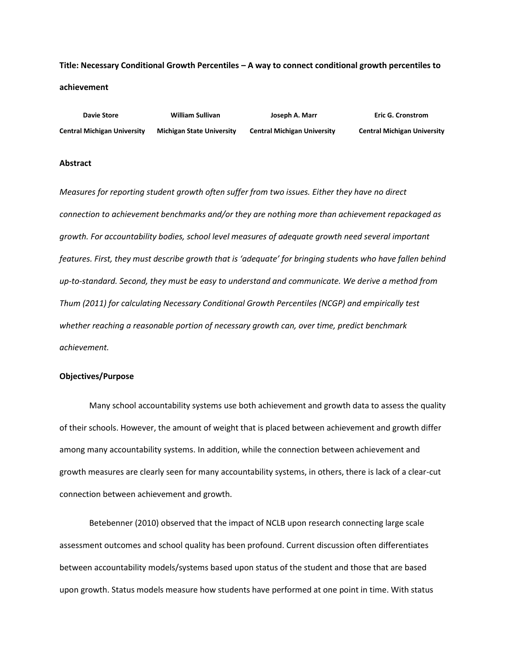# **Title: Necessary Conditional Growth Percentiles – A way to connect conditional growth percentiles to achievement**

 **Davie Store William Sullivan Joseph A. Marr Eric G. Cronstrom Central Michigan University Michigan State University Central Michigan University Central Michigan University**

#### **Abstract**

*Measures for reporting student growth often suffer from two issues. Either they have no direct connection to achievement benchmarks and/or they are nothing more than achievement repackaged as growth. For accountability bodies, school level measures of adequate growth need several important features. First, they must describe growth that is 'adequate' for bringing students who have fallen behind up-to-standard. Second, they must be easy to understand and communicate. We derive a method from Thum (2011) for calculating Necessary Conditional Growth Percentiles (NCGP) and empirically test whether reaching a reasonable portion of necessary growth can, over time, predict benchmark achievement.*

#### **Objectives/Purpose**

Many school accountability systems use both achievement and growth data to assess the quality of their schools. However, the amount of weight that is placed between achievement and growth differ among many accountability systems. In addition, while the connection between achievement and growth measures are clearly seen for many accountability systems, in others, there is lack of a clear-cut connection between achievement and growth.

Betebenner (2010) observed that the impact of NCLB upon research connecting large scale assessment outcomes and school quality has been profound. Current discussion often differentiates between accountability models/systems based upon status of the student and those that are based upon growth. Status models measure how students have performed at one point in time. With status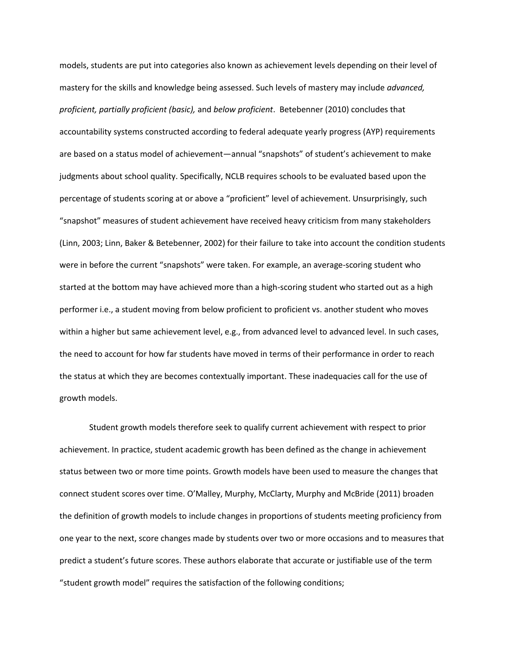models, students are put into categories also known as achievement levels depending on their level of mastery for the skills and knowledge being assessed. Such levels of mastery may include *advanced, proficient, partially proficient (basic),* and *below proficient*. Betebenner (2010) concludes that accountability systems constructed according to federal adequate yearly progress (AYP) requirements are based on a status model of achievement—annual "snapshots" of student's achievement to make judgments about school quality. Specifically, NCLB requires schools to be evaluated based upon the percentage of students scoring at or above a "proficient" level of achievement. Unsurprisingly, such "snapshot" measures of student achievement have received heavy criticism from many stakeholders (Linn, 2003; Linn, Baker & Betebenner, 2002) for their failure to take into account the condition students were in before the current "snapshots" were taken. For example, an average-scoring student who started at the bottom may have achieved more than a high-scoring student who started out as a high performer i.e., a student moving from below proficient to proficient vs. another student who moves within a higher but same achievement level, e.g., from advanced level to advanced level. In such cases, the need to account for how far students have moved in terms of their performance in order to reach the status at which they are becomes contextually important. These inadequacies call for the use of growth models.

Student growth models therefore seek to qualify current achievement with respect to prior achievement. In practice, student academic growth has been defined as the change in achievement status between two or more time points. Growth models have been used to measure the changes that connect student scores over time. O'Malley, Murphy, McClarty, Murphy and McBride (2011) broaden the definition of growth models to include changes in proportions of students meeting proficiency from one year to the next, score changes made by students over two or more occasions and to measures that predict a student's future scores. These authors elaborate that accurate or justifiable use of the term "student growth model" requires the satisfaction of the following conditions;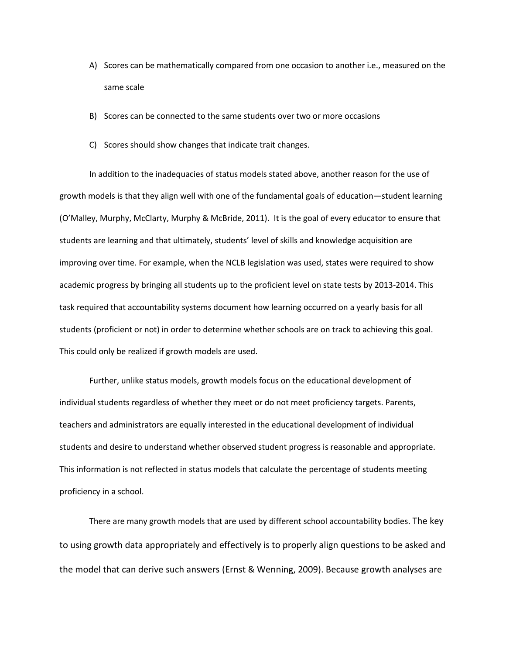- A) Scores can be mathematically compared from one occasion to another i.e., measured on the same scale
- B) Scores can be connected to the same students over two or more occasions
- C) Scores should show changes that indicate trait changes.

In addition to the inadequacies of status models stated above, another reason for the use of growth models is that they align well with one of the fundamental goals of education—student learning (O'Malley, Murphy, McClarty, Murphy & McBride, 2011). It is the goal of every educator to ensure that students are learning and that ultimately, students' level of skills and knowledge acquisition are improving over time. For example, when the NCLB legislation was used, states were required to show academic progress by bringing all students up to the proficient level on state tests by 2013-2014. This task required that accountability systems document how learning occurred on a yearly basis for all students (proficient or not) in order to determine whether schools are on track to achieving this goal. This could only be realized if growth models are used.

Further, unlike status models, growth models focus on the educational development of individual students regardless of whether they meet or do not meet proficiency targets. Parents, teachers and administrators are equally interested in the educational development of individual students and desire to understand whether observed student progress is reasonable and appropriate. This information is not reflected in status models that calculate the percentage of students meeting proficiency in a school.

There are many growth models that are used by different school accountability bodies. The key to using growth data appropriately and effectively is to properly align questions to be asked and the model that can derive such answers (Ernst & Wenning, 2009). Because growth analyses are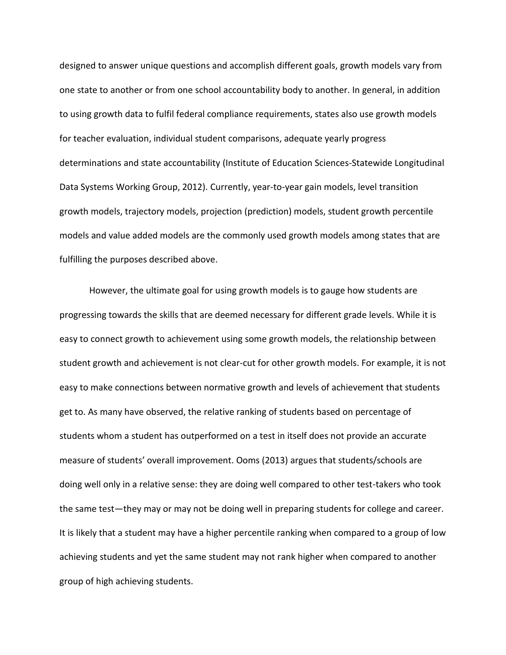designed to answer unique questions and accomplish different goals, growth models vary from one state to another or from one school accountability body to another. In general, in addition to using growth data to fulfil federal compliance requirements, states also use growth models for teacher evaluation, individual student comparisons, adequate yearly progress determinations and state accountability (Institute of Education Sciences-Statewide Longitudinal Data Systems Working Group, 2012). Currently, year-to-year gain models, level transition growth models, trajectory models, projection (prediction) models, student growth percentile models and value added models are the commonly used growth models among states that are fulfilling the purposes described above.

However, the ultimate goal for using growth models is to gauge how students are progressing towards the skills that are deemed necessary for different grade levels. While it is easy to connect growth to achievement using some growth models, the relationship between student growth and achievement is not clear-cut for other growth models. For example, it is not easy to make connections between normative growth and levels of achievement that students get to. As many have observed, the relative ranking of students based on percentage of students whom a student has outperformed on a test in itself does not provide an accurate measure of students' overall improvement. Ooms (2013) argues that students/schools are doing well only in a relative sense: they are doing well compared to other test-takers who took the same test—they may or may not be doing well in preparing students for college and career. It is likely that a student may have a higher percentile ranking when compared to a group of low achieving students and yet the same student may not rank higher when compared to another group of high achieving students.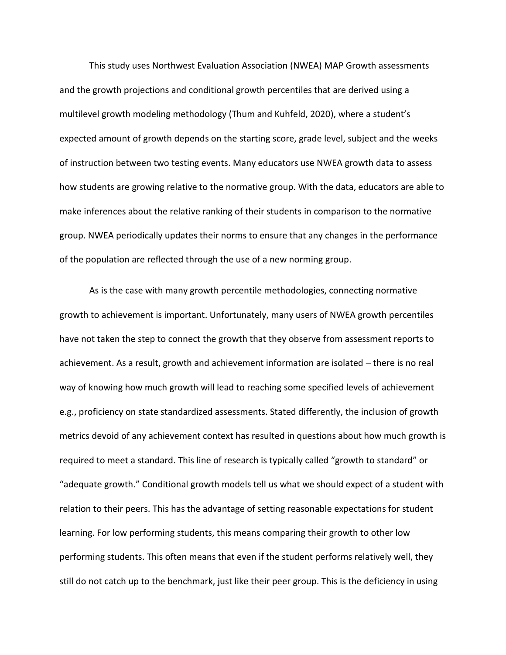This study uses Northwest Evaluation Association (NWEA) MAP Growth assessments and the growth projections and conditional growth percentiles that are derived using a multilevel growth modeling methodology (Thum and Kuhfeld, 2020), where a student's expected amount of growth depends on the starting score, grade level, subject and the weeks of instruction between two testing events. Many educators use NWEA growth data to assess how students are growing relative to the normative group. With the data, educators are able to make inferences about the relative ranking of their students in comparison to the normative group. NWEA periodically updates their norms to ensure that any changes in the performance of the population are reflected through the use of a new norming group.

As is the case with many growth percentile methodologies, connecting normative growth to achievement is important. Unfortunately, many users of NWEA growth percentiles have not taken the step to connect the growth that they observe from assessment reports to achievement. As a result, growth and achievement information are isolated – there is no real way of knowing how much growth will lead to reaching some specified levels of achievement e.g., proficiency on state standardized assessments. Stated differently, the inclusion of growth metrics devoid of any achievement context has resulted in questions about how much growth is required to meet a standard. This line of research is typically called "growth to standard" or "adequate growth." Conditional growth models tell us what we should expect of a student with relation to their peers. This has the advantage of setting reasonable expectations for student learning. For low performing students, this means comparing their growth to other low performing students. This often means that even if the student performs relatively well, they still do not catch up to the benchmark, just like their peer group. This is the deficiency in using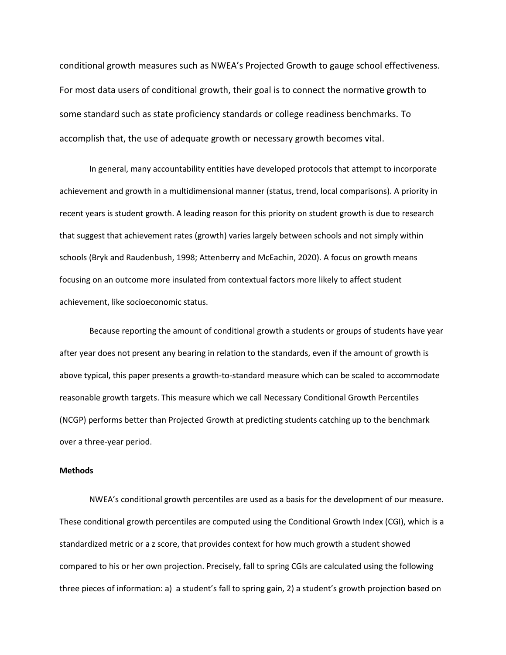conditional growth measures such as NWEA's Projected Growth to gauge school effectiveness. For most data users of conditional growth, their goal is to connect the normative growth to some standard such as state proficiency standards or college readiness benchmarks. To accomplish that, the use of adequate growth or necessary growth becomes vital.

In general, many accountability entities have developed protocols that attempt to incorporate achievement and growth in a multidimensional manner (status, trend, local comparisons). A priority in recent years is student growth. A leading reason for this priority on student growth is due to research that suggest that achievement rates (growth) varies largely between schools and not simply within schools (Bryk and Raudenbush, 1998; Attenberry and McEachin, 2020). A focus on growth means focusing on an outcome more insulated from contextual factors more likely to affect student achievement, like socioeconomic status.

Because reporting the amount of conditional growth a students or groups of students have year after year does not present any bearing in relation to the standards, even if the amount of growth is above typical, this paper presents a growth-to-standard measure which can be scaled to accommodate reasonable growth targets. This measure which we call Necessary Conditional Growth Percentiles (NCGP) performs better than Projected Growth at predicting students catching up to the benchmark over a three-year period.

#### **Methods**

NWEA's conditional growth percentiles are used as a basis for the development of our measure. These conditional growth percentiles are computed using the Conditional Growth Index (CGI), which is a standardized metric or a z score, that provides context for how much growth a student showed compared to his or her own projection. Precisely, fall to spring CGIs are calculated using the following three pieces of information: a) a student's fall to spring gain, 2) a student's growth projection based on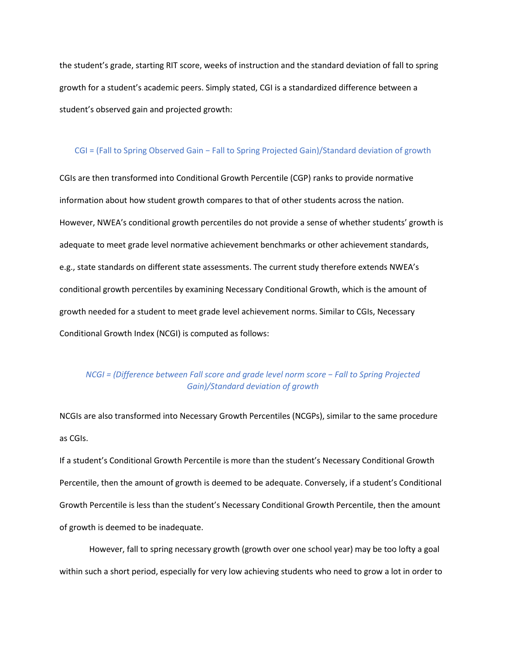the student's grade, starting RIT score, weeks of instruction and the standard deviation of fall to spring growth for a student's academic peers. Simply stated, CGI is a standardized difference between a student's observed gain and projected growth:

#### CGI = (Fall to Spring Observed Gain − Fall to Spring Projected Gain)/Standard deviation of growth

CGIs are then transformed into Conditional Growth Percentile (CGP) ranks to provide normative information about how student growth compares to that of other students across the nation. However, NWEA's conditional growth percentiles do not provide a sense of whether students' growth is adequate to meet grade level normative achievement benchmarks or other achievement standards, e.g., state standards on different state assessments. The current study therefore extends NWEA's conditional growth percentiles by examining Necessary Conditional Growth, which is the amount of growth needed for a student to meet grade level achievement norms. Similar to CGIs, Necessary Conditional Growth Index (NCGI) is computed as follows:

### *NCGI = (Difference between Fall score and grade level norm score − Fall to Spring Projected Gain)/Standard deviation of growth*

NCGIs are also transformed into Necessary Growth Percentiles (NCGPs), similar to the same procedure as CGIs.

If a student's Conditional Growth Percentile is more than the student's Necessary Conditional Growth Percentile, then the amount of growth is deemed to be adequate. Conversely, if a student's Conditional Growth Percentile is less than the student's Necessary Conditional Growth Percentile, then the amount of growth is deemed to be inadequate.

However, fall to spring necessary growth (growth over one school year) may be too lofty a goal within such a short period, especially for very low achieving students who need to grow a lot in order to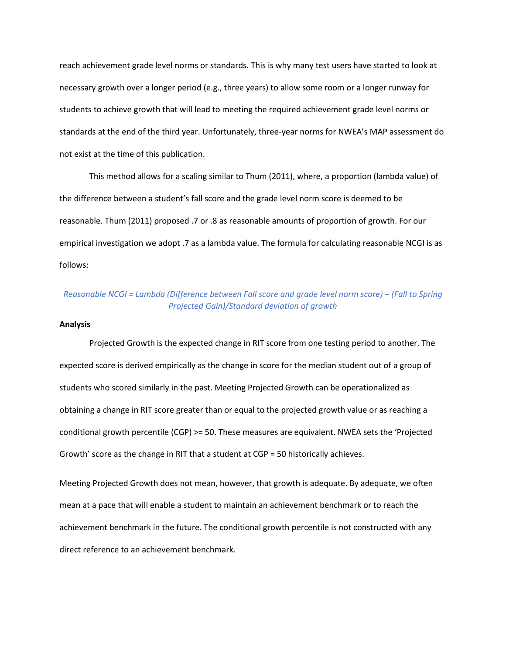reach achievement grade level norms or standards. This is why many test users have started to look at necessary growth over a longer period (e.g., three years) to allow some room or a longer runway for students to achieve growth that will lead to meeting the required achievement grade level norms or standards at the end of the third year. Unfortunately, three-year norms for NWEA's MAP assessment do not exist at the time of this publication.

This method allows for a scaling similar to Thum (2011), where, a proportion (lambda value) of the difference between a student's fall score and the grade level norm score is deemed to be reasonable. Thum (2011) proposed .7 or .8 as reasonable amounts of proportion of growth. For our empirical investigation we adopt .7 as a lambda value. The formula for calculating reasonable NCGI is as follows:

### *Reasonable NCGI = Lambda (Difference between Fall score and grade level norm score) − (Fall to Spring Projected Gain)/Standard deviation of growth*

#### **Analysis**

Projected Growth is the expected change in RIT score from one testing period to another. The expected score is derived empirically as the change in score for the median student out of a group of students who scored similarly in the past. Meeting Projected Growth can be operationalized as obtaining a change in RIT score greater than or equal to the projected growth value or as reaching a conditional growth percentile (CGP) >= 50. These measures are equivalent. NWEA sets the 'Projected Growth' score as the change in RIT that a student at CGP = 50 historically achieves.

Meeting Projected Growth does not mean, however, that growth is adequate. By adequate, we often mean at a pace that will enable a student to maintain an achievement benchmark or to reach the achievement benchmark in the future. The conditional growth percentile is not constructed with any direct reference to an achievement benchmark.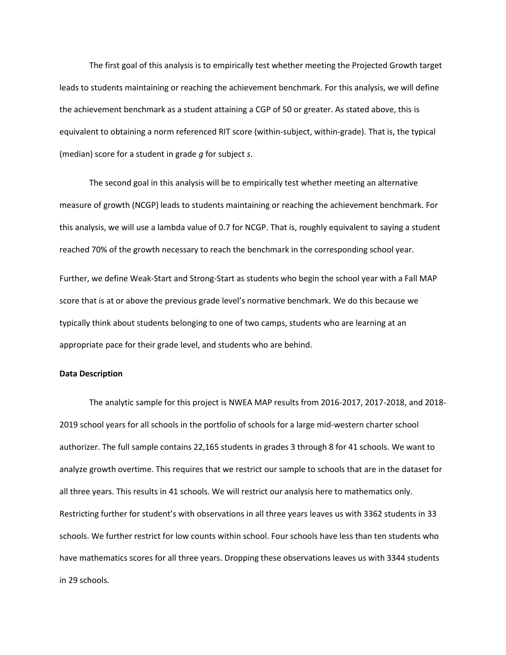The first goal of this analysis is to empirically test whether meeting the Projected Growth target leads to students maintaining or reaching the achievement benchmark. For this analysis, we will define the achievement benchmark as a student attaining a CGP of 50 or greater. As stated above, this is equivalent to obtaining a norm referenced RIT score (within-subject, within-grade). That is, the typical (median) score for a student in grade *g* for subject *s*.

The second goal in this analysis will be to empirically test whether meeting an alternative measure of growth (NCGP) leads to students maintaining or reaching the achievement benchmark. For this analysis, we will use a lambda value of 0.7 for NCGP. That is, roughly equivalent to saying a student reached 70% of the growth necessary to reach the benchmark in the corresponding school year.

Further, we define Weak-Start and Strong-Start as students who begin the school year with a Fall MAP score that is at or above the previous grade level's normative benchmark. We do this because we typically think about students belonging to one of two camps, students who are learning at an appropriate pace for their grade level, and students who are behind.

#### **Data Description**

The analytic sample for this project is NWEA MAP results from 2016-2017, 2017-2018, and 2018- 2019 school years for all schools in the portfolio of schools for a large mid-western charter school authorizer. The full sample contains 22,165 students in grades 3 through 8 for 41 schools. We want to analyze growth overtime. This requires that we restrict our sample to schools that are in the dataset for all three years. This results in 41 schools. We will restrict our analysis here to mathematics only. Restricting further for student's with observations in all three years leaves us with 3362 students in 33 schools. We further restrict for low counts within school. Four schools have less than ten students who have mathematics scores for all three years. Dropping these observations leaves us with 3344 students in 29 schools.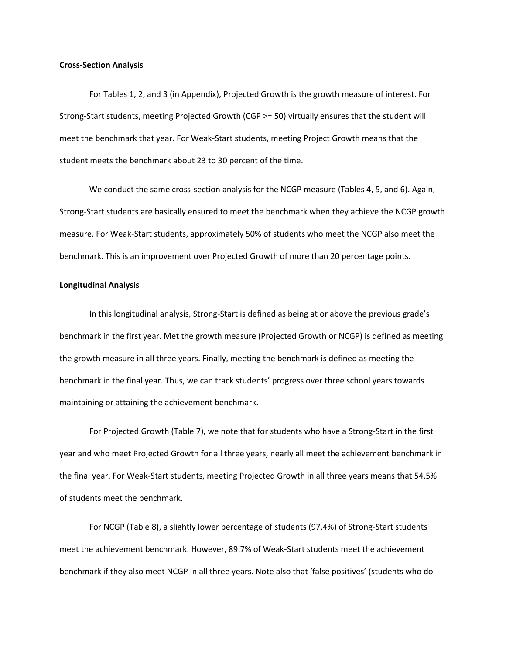#### **Cross-Section Analysis**

For Tables 1, 2, and 3 (in Appendix), Projected Growth is the growth measure of interest. For Strong-Start students, meeting Projected Growth (CGP >= 50) virtually ensures that the student will meet the benchmark that year. For Weak-Start students, meeting Project Growth means that the student meets the benchmark about 23 to 30 percent of the time.

We conduct the same cross-section analysis for the NCGP measure (Tables 4, 5, and 6). Again, Strong-Start students are basically ensured to meet the benchmark when they achieve the NCGP growth measure. For Weak-Start students, approximately 50% of students who meet the NCGP also meet the benchmark. This is an improvement over Projected Growth of more than 20 percentage points.

#### **Longitudinal Analysis**

In this longitudinal analysis, Strong-Start is defined as being at or above the previous grade's benchmark in the first year. Met the growth measure (Projected Growth or NCGP) is defined as meeting the growth measure in all three years. Finally, meeting the benchmark is defined as meeting the benchmark in the final year. Thus, we can track students' progress over three school years towards maintaining or attaining the achievement benchmark.

For Projected Growth (Table 7), we note that for students who have a Strong-Start in the first year and who meet Projected Growth for all three years, nearly all meet the achievement benchmark in the final year. For Weak-Start students, meeting Projected Growth in all three years means that 54.5% of students meet the benchmark.

For NCGP (Table 8), a slightly lower percentage of students (97.4%) of Strong-Start students meet the achievement benchmark. However, 89.7% of Weak-Start students meet the achievement benchmark if they also meet NCGP in all three years. Note also that 'false positives' (students who do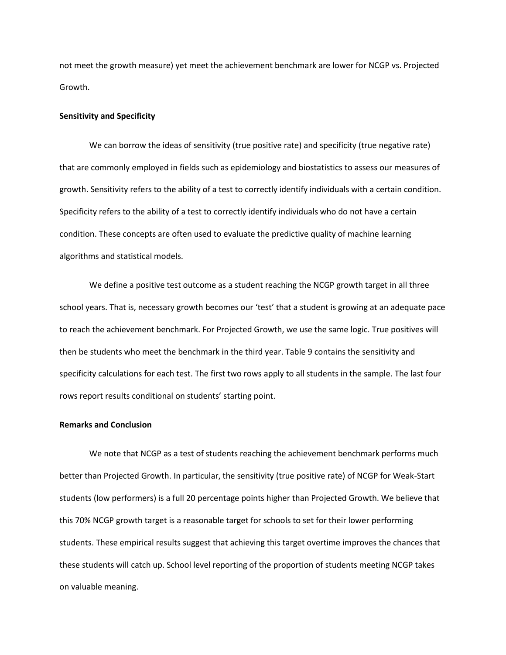not meet the growth measure) yet meet the achievement benchmark are lower for NCGP vs. Projected Growth.

#### **Sensitivity and Specificity**

We can borrow the ideas of sensitivity (true positive rate) and specificity (true negative rate) that are commonly employed in fields such as epidemiology and biostatistics to assess our measures of growth. Sensitivity refers to the ability of a test to correctly identify individuals with a certain condition. Specificity refers to the ability of a test to correctly identify individuals who do not have a certain condition. These concepts are often used to evaluate the predictive quality of machine learning algorithms and statistical models.

We define a positive test outcome as a student reaching the NCGP growth target in all three school years. That is, necessary growth becomes our 'test' that a student is growing at an adequate pace to reach the achievement benchmark. For Projected Growth, we use the same logic. True positives will then be students who meet the benchmark in the third year. Table 9 contains the sensitivity and specificity calculations for each test. The first two rows apply to all students in the sample. The last four rows report results conditional on students' starting point.

#### **Remarks and Conclusion**

We note that NCGP as a test of students reaching the achievement benchmark performs much better than Projected Growth. In particular, the sensitivity (true positive rate) of NCGP for Weak-Start students (low performers) is a full 20 percentage points higher than Projected Growth. We believe that this 70% NCGP growth target is a reasonable target for schools to set for their lower performing students. These empirical results suggest that achieving this target overtime improves the chances that these students will catch up. School level reporting of the proportion of students meeting NCGP takes on valuable meaning.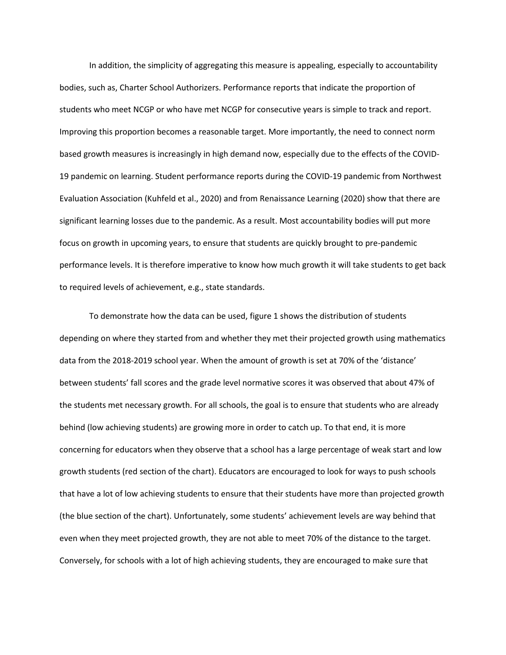In addition, the simplicity of aggregating this measure is appealing, especially to accountability bodies, such as, Charter School Authorizers. Performance reports that indicate the proportion of students who meet NCGP or who have met NCGP for consecutive years is simple to track and report. Improving this proportion becomes a reasonable target. More importantly, the need to connect norm based growth measures is increasingly in high demand now, especially due to the effects of the COVID-19 pandemic on learning. Student performance reports during the COVID-19 pandemic from Northwest Evaluation Association (Kuhfeld et al., 2020) and from Renaissance Learning (2020) show that there are significant learning losses due to the pandemic. As a result. Most accountability bodies will put more focus on growth in upcoming years, to ensure that students are quickly brought to pre-pandemic performance levels. It is therefore imperative to know how much growth it will take students to get back to required levels of achievement, e.g., state standards.

To demonstrate how the data can be used, figure 1 shows the distribution of students depending on where they started from and whether they met their projected growth using mathematics data from the 2018-2019 school year. When the amount of growth is set at 70% of the 'distance' between students' fall scores and the grade level normative scores it was observed that about 47% of the students met necessary growth. For all schools, the goal is to ensure that students who are already behind (low achieving students) are growing more in order to catch up. To that end, it is more concerning for educators when they observe that a school has a large percentage of weak start and low growth students (red section of the chart). Educators are encouraged to look for ways to push schools that have a lot of low achieving students to ensure that their students have more than projected growth (the blue section of the chart). Unfortunately, some students' achievement levels are way behind that even when they meet projected growth, they are not able to meet 70% of the distance to the target. Conversely, for schools with a lot of high achieving students, they are encouraged to make sure that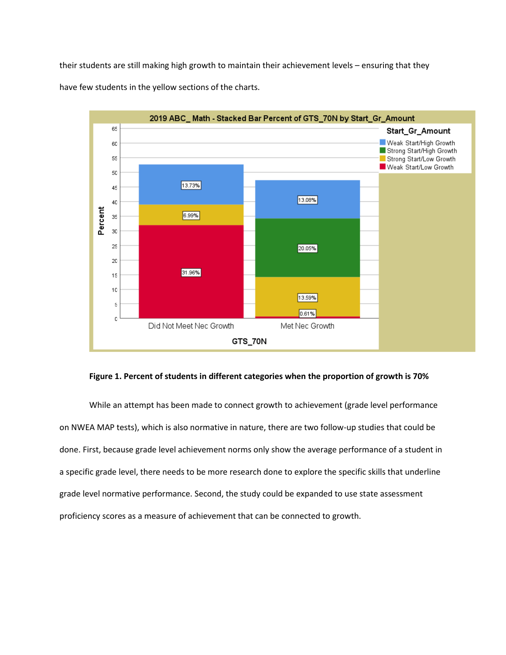their students are still making high growth to maintain their achievement levels – ensuring that they have few students in the yellow sections of the charts.



#### **Figure 1. Percent of students in different categories when the proportion of growth is 70%**

While an attempt has been made to connect growth to achievement (grade level performance on NWEA MAP tests), which is also normative in nature, there are two follow-up studies that could be done. First, because grade level achievement norms only show the average performance of a student in a specific grade level, there needs to be more research done to explore the specific skills that underline grade level normative performance. Second, the study could be expanded to use state assessment proficiency scores as a measure of achievement that can be connected to growth.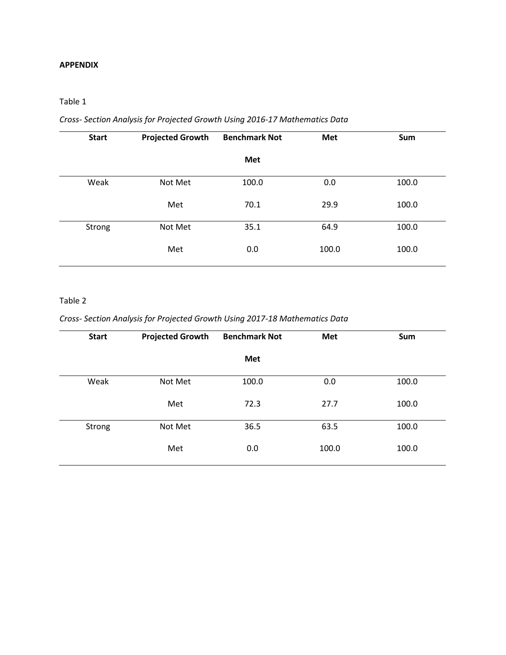### **APPENDIX**

### Table 1

# *Cross- Section Analysis for Projected Growth Using 2016-17 Mathematics Data*

| <b>Start</b> | <b>Projected Growth</b> | <b>Benchmark Not</b> | Met   | Sum   |
|--------------|-------------------------|----------------------|-------|-------|
|              |                         | Met                  |       |       |
| Weak         | Not Met                 | 100.0                | 0.0   | 100.0 |
|              | Met                     | 70.1                 | 29.9  | 100.0 |
| Strong       | Not Met                 | 35.1                 | 64.9  | 100.0 |
|              | Met                     | 0.0                  | 100.0 | 100.0 |

### Table 2

### *Cross- Section Analysis for Projected Growth Using 2017-18 Mathematics Data*

| <b>Start</b> | <b>Projected Growth</b> | <b>Benchmark Not</b> | Met   | Sum   |
|--------------|-------------------------|----------------------|-------|-------|
|              |                         | Met                  |       |       |
| Weak         | Not Met                 | 100.0                | 0.0   | 100.0 |
|              | Met                     | 72.3                 | 27.7  | 100.0 |
| Strong       | Not Met                 | 36.5                 | 63.5  | 100.0 |
|              | Met                     | 0.0                  | 100.0 | 100.0 |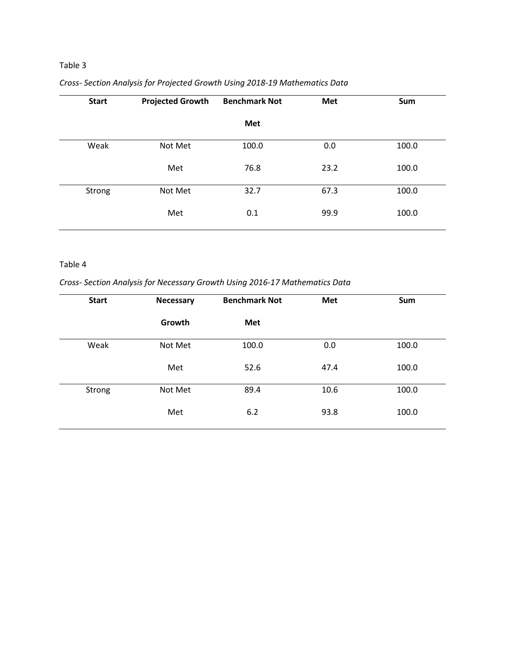# Table 3

| <b>Start</b> | <b>Projected Growth</b> | <b>Benchmark Not</b> | Met  | Sum   |
|--------------|-------------------------|----------------------|------|-------|
|              |                         | Met                  |      |       |
| Weak         | Not Met                 | 100.0                | 0.0  | 100.0 |
|              | Met                     | 76.8                 | 23.2 | 100.0 |
| Strong       | Not Met                 | 32.7                 | 67.3 | 100.0 |
|              | Met                     | 0.1                  | 99.9 | 100.0 |

# *Cross- Section Analysis for Projected Growth Using 2018-19 Mathematics Data*

### Table 4

### *Cross- Section Analysis for Necessary Growth Using 2016-17 Mathematics Data*

| <b>Necessary</b> | <b>Benchmark Not</b> | Met  | Sum   |
|------------------|----------------------|------|-------|
| Growth           | Met                  |      |       |
| Not Met          | 100.0                | 0.0  | 100.0 |
| Met              | 52.6                 | 47.4 | 100.0 |
| Not Met          | 89.4                 | 10.6 | 100.0 |
| Met              | 6.2                  | 93.8 | 100.0 |
|                  |                      |      |       |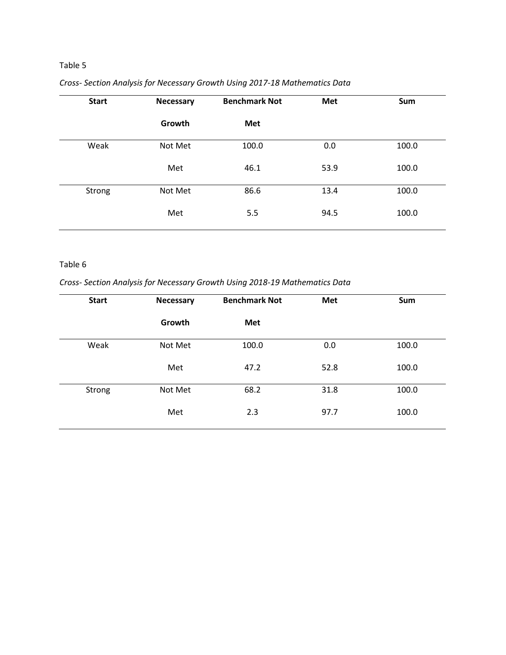# Table 5

| <b>Start</b> | <b>Necessary</b> | <b>Benchmark Not</b> | Met  | Sum   |
|--------------|------------------|----------------------|------|-------|
|              | Growth           | Met                  |      |       |
| Weak         | Not Met          | 100.0                | 0.0  | 100.0 |
|              | Met              | 46.1                 | 53.9 | 100.0 |
| Strong       | Not Met          | 86.6                 | 13.4 | 100.0 |
|              | Met              | 5.5                  | 94.5 | 100.0 |

# *Cross- Section Analysis for Necessary Growth Using 2017-18 Mathematics Data*

### Table 6

## *Cross- Section Analysis for Necessary Growth Using 2018-19 Mathematics Data*

| <b>Start</b> | <b>Necessary</b> | <b>Benchmark Not</b> | Met  | Sum   |
|--------------|------------------|----------------------|------|-------|
|              | Growth           | Met                  |      |       |
| Weak         | Not Met          | 100.0                | 0.0  | 100.0 |
|              | Met              | 47.2                 | 52.8 | 100.0 |
| Strong       | Not Met          | 68.2                 | 31.8 | 100.0 |
|              | Met              | 2.3                  | 97.7 | 100.0 |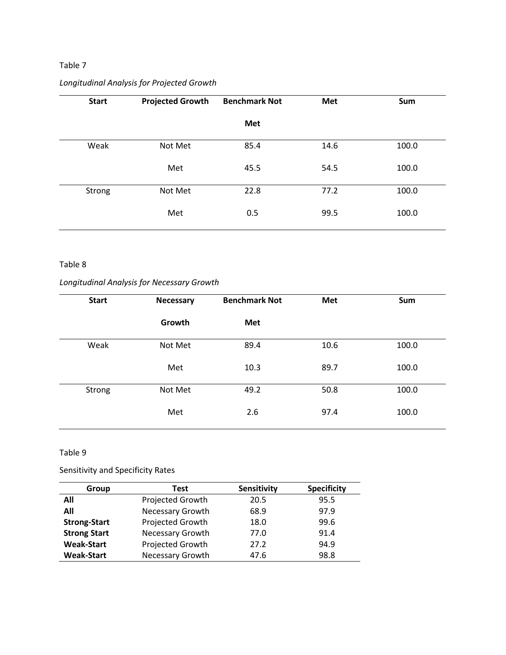### Table 7

# *Longitudinal Analysis for Projected Growth*

| <b>Start</b> | <b>Projected Growth</b> | <b>Benchmark Not</b> | <b>Met</b> | Sum   |
|--------------|-------------------------|----------------------|------------|-------|
|              |                         | Met                  |            |       |
| Weak         | Not Met                 | 85.4                 | 14.6       | 100.0 |
|              | Met                     | 45.5                 | 54.5       | 100.0 |
| Strong       | Not Met                 | 22.8                 | 77.2       | 100.0 |
|              | Met                     | 0.5                  | 99.5       | 100.0 |

#### Table 8

# *Longitudinal Analysis for Necessary Growth*

| <b>Start</b> | <b>Necessary</b> | <b>Benchmark Not</b> | Met  | Sum   |
|--------------|------------------|----------------------|------|-------|
|              | Growth           | Met                  |      |       |
| Weak         | Not Met          | 89.4                 | 10.6 | 100.0 |
|              | Met              | 10.3                 | 89.7 | 100.0 |
| Strong       | Not Met          | 49.2                 | 50.8 | 100.0 |
|              | Met              | 2.6                  | 97.4 | 100.0 |

Table 9

Sensitivity and Specificity Rates

| Group               | Test                    | Sensitivity | <b>Specificity</b> |
|---------------------|-------------------------|-------------|--------------------|
| All                 | Projected Growth        | 20.5        | 95.5               |
| All                 | Necessary Growth        | 68.9        | 97.9               |
| <b>Strong-Start</b> | Projected Growth        | 18.0        | 99.6               |
| <b>Strong Start</b> | Necessary Growth        | 77.0        | 91.4               |
| <b>Weak-Start</b>   | Projected Growth        | 27.2        | 94.9               |
| <b>Weak-Start</b>   | <b>Necessary Growth</b> | 47.6        | 98.8               |
|                     |                         |             |                    |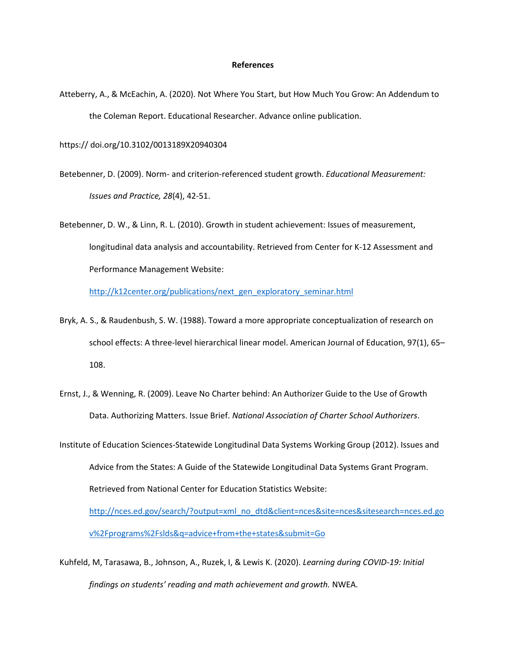#### **References**

Atteberry, A., & McEachin, A. (2020). Not Where You Start, but How Much You Grow: An Addendum to the Coleman Report. Educational Researcher. Advance online publication.

https:// doi.org/10.3102/0013189X20940304

- Betebenner, D. (2009). Norm- and criterion-referenced student growth. *Educational Measurement: Issues and Practice, 28*(4), 42-51.
- Betebenner, D. W., & Linn, R. L. (2010). Growth in student achievement: Issues of measurement, longitudinal data analysis and accountability. Retrieved from Center for K-12 Assessment and Performance Management Website:

[http://k12center.org/publications/next\\_gen\\_exploratory\\_seminar.html](http://k12center.org/publications/next_gen_exploratory_seminar.html)

- Bryk, A. S., & Raudenbush, S. W. (1988). Toward a more appropriate conceptualization of research on school effects: A three-level hierarchical linear model. American Journal of Education, 97(1), 65– 108.
- Ernst, J., & Wenning, R. (2009). Leave No Charter behind: An Authorizer Guide to the Use of Growth Data. Authorizing Matters. Issue Brief. *National Association of Charter School Authorizers*.
- Institute of Education Sciences-Statewide Longitudinal Data Systems Working Group (2012). Issues and Advice from the States: A Guide of the Statewide Longitudinal Data Systems Grant Program. Retrieved from National Center for Education Statistics Website: [http://nces.ed.gov/search/?output=xml\\_no\\_dtd&client=nces&site=nces&sitesearch=nces.ed.go](http://nces.ed.gov/search/?output=xml_no_dtd&client=nces&site=nces&sitesearch=nces.ed.gov%2Fprograms%2Fslds&q=advice+from+the+states&submit=Go)

[v%2Fprograms%2Fslds&q=advice+from+the+states&submit=Go](http://nces.ed.gov/search/?output=xml_no_dtd&client=nces&site=nces&sitesearch=nces.ed.gov%2Fprograms%2Fslds&q=advice+from+the+states&submit=Go)

Kuhfeld, M, Tarasawa, B., Johnson, A., Ruzek, I, & Lewis K. (2020). *Learning during COVID-19: Initial findings on students' reading and math achievement and growth.* NWEA.